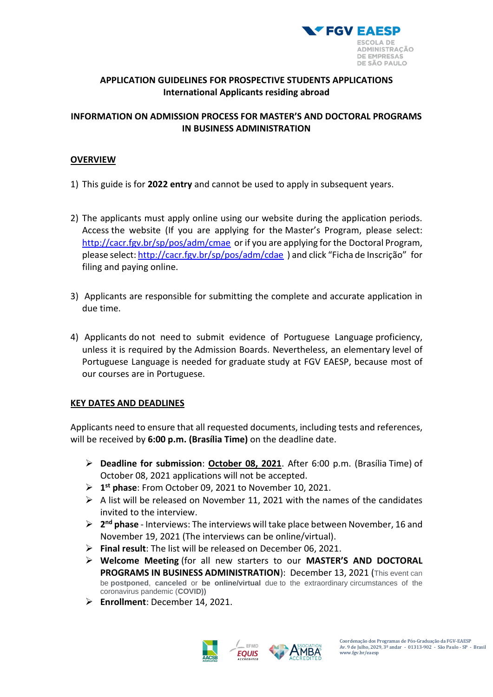

# **APPLICATION GUIDELINES FOR PROSPECTIVE STUDENTS APPLICATIONS International Applicants residing abroad**

# **INFORMATION ON ADMISSION PROCESS FOR MASTER'S AND DOCTORAL PROGRAMS IN BUSINESS ADMINISTRATION**

### **OVERVIEW**

- 1) This guide is for **2022 entry** and cannot be used to apply in subsequent years.
- 2) The applicants must apply online using our website during the application periods. Access the website (If you are applying for the Master's Program, please select: <http://cacr.fgv.br/sp/pos/adm/cmae> or if you are applying for the Doctoral Program, please select[: http://cacr.fgv.br/sp/pos/adm/cdae](http://cacr.fgv.br/sp/pos/adm/cdae) ) and click "Ficha de Inscrição" for filing and paying online.
- 3) Applicants are responsible for submitting the complete and accurate application in due time.
- 4) Applicants do not need to submit evidence of Portuguese Language proficiency, unless it is required by the Admission Boards. Nevertheless, an elementary level of Portuguese Language is needed for graduate study at FGV EAESP, because most of our courses are in Portuguese.

### **KEY DATES AND DEADLINES**

Applicants need to ensure that all requested documents, including tests and references, will be received by **6:00 p.m. (Brasília Time)** on the deadline date.

- ➢ **Deadline for submission**: **October 08, 2021**. After 6:00 p.m. (Brasília Time) of October 08, 2021 applications will not be accepted.
- ➢ **1 st phase**: From October 09, 2021 to November 10, 2021.
- $\triangleright$  A list will be released on November 11, 2021 with the names of the candidates invited to the interview.
- ➢ **2 nd phase** Interviews: The interviews will take place between November, 16 and November 19, 2021 (The interviews can be online/virtual).
- ➢ **Final result**: The list will be released on December 06, 2021.
- ➢ **Welcome Meeting** (for all new starters to our **MASTER'S AND DOCTORAL PROGRAMS IN BUSINESS ADMINISTRATION**): December 13, 2021 (This event can be **postponed**, **canceled** or **be online/virtual** due to the extraordinary circumstances of the coronavirus pandemic (**COVID))**
- ➢ **Enrollment**: December 14, 2021.



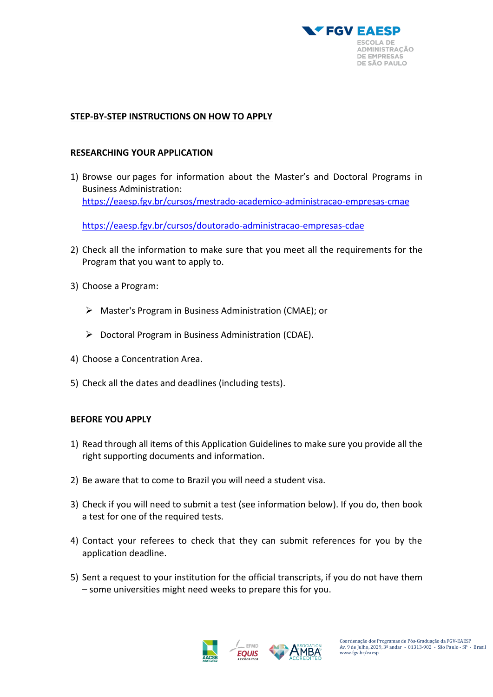

## **STEP-BY-STEP INSTRUCTIONS ON HOW TO APPLY**

#### **RESEARCHING YOUR APPLICATION**

1) Browse our pages for information about the Master's and Doctoral Programs in Business Administration: <https://eaesp.fgv.br/cursos/mestrado-academico-administracao-empresas-cmae>

<https://eaesp.fgv.br/cursos/doutorado-administracao-empresas-cdae>

- 2) Check all the information to make sure that you meet all the requirements for the Program that you want to apply to.
- 3) Choose a Program:
	- ➢ Master's Program in Business Administration (CMAE); or
	- $\triangleright$  Doctoral Program in Business Administration (CDAE).
- 4) Choose a Concentration Area.
- 5) Check all the dates and deadlines (including tests).

### **BEFORE YOU APPLY**

- 1) Read through all items of this Application Guidelines to make sure you provide all the right supporting documents and information.
- 2) Be aware that to come to Brazil you will need a student visa.
- 3) Check if you will need to submit a [test](http://www.graduate.ox.ac.uk/englishproficiency) (see information below). If you do, then book a test for one of the required tests.
- 4) Contact your referees to check that they can submit references for you by the application deadline.
- 5) Sent a request to your institution for the official transcripts, if you do not have them – some universities might need weeks to prepare this for you.



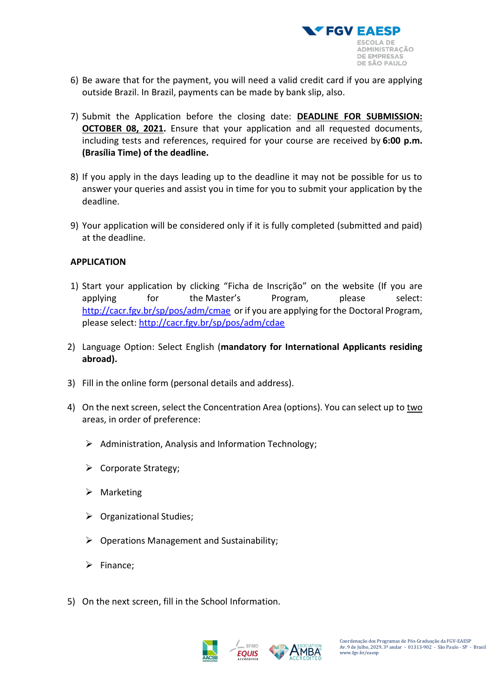

- 6) Be aware that for the payment, you will need a valid credit card if you are applying outside Brazil. In Brazil, payments can be made by bank slip, also.
- 7) Submit the Application before the closing date: **DEADLINE FOR SUBMISSION: OCTOBER 08, 2021.** Ensure that your application and all requested documents, including tests and references, required for your course are received by **6:00 p.m. (Brasília Time) of the deadline.**
- 8) If you apply in the days leading up to the deadline it may not be possible for us to answer your queries and assist you in time for you to submit your application by the deadline.
- 9) Your application will be considered only if it is fully completed (submitted and paid) at the deadline.

## **APPLICATION**

- 1) Start your application by clicking "Ficha de Inscrição" on the website (If you are applying for the Master's Program, please select: <http://cacr.fgv.br/sp/pos/adm/cmae> or if you are applying for the Doctoral Program, please select:<http://cacr.fgv.br/sp/pos/adm/cdae>
- 2) Language Option: Select English (**mandatory for International Applicants residing abroad).**
- 3) Fill in the online form (personal details and address).
- 4) On the next screen, select the Concentration Area (options). You can select up to two areas, in order of preference:
	- ➢ Administration, Analysis and Information Technology;
	- ➢ Corporate Strategy;
	- ➢ Marketing
	- ➢ Organizational Studies;
	- $\triangleright$  Operations Management and Sustainability;
	- ➢ Finance;
- 5) On the next screen, fill in the School Information.



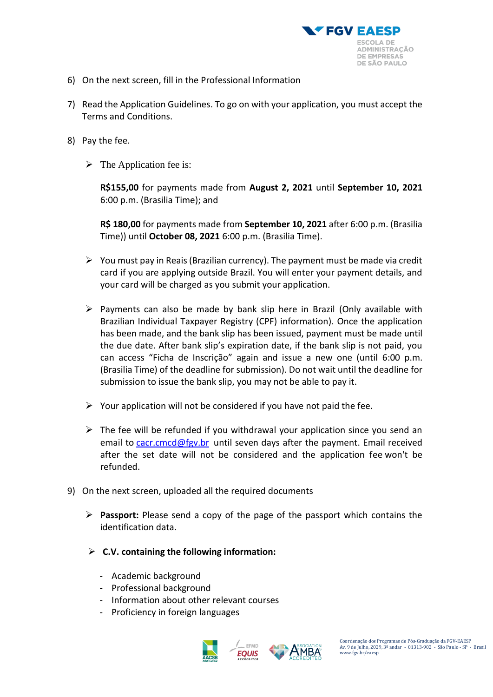

- 6) On the next screen, fill in the Professional Information
- 7) Read the Application Guidelines. To go on with your application, you must accept the Terms and Conditions.
- 8) Pay the fee.
	- $\triangleright$  The Application fee is:

**R\$155,00** for payments made from **August 2, 2021** until **September 10, 2021**  6:00 p.m. (Brasilia Time); and

**R\$ 180,00** for payments made from **September 10, 2021** after 6:00 p.m. (Brasilia Time)) until **October 08, 2021** 6:00 p.m. (Brasilia Time).

- $\triangleright$  You must pay in Reais (Brazilian currency). The payment must be made via credit card if you are applying outside Brazil. You will enter your payment details, and your card will be charged as you submit your application.
- $\triangleright$  Payments can also be made by bank slip here in Brazil (Only available with Brazilian Individual Taxpayer Registry (CPF) information). Once the application has been made, and the bank slip has been issued, payment must be made until the due date. After bank slip's expiration date, if the bank slip is not paid, you can access "Ficha de Inscrição" again and issue a new one (until 6:00 p.m. (Brasilia Time) of the deadline for submission). Do not wait until the deadline for submission to issue the bank slip, you may not be able to pay it.
- $\triangleright$  Your application will not be considered if you have not paid the fee.
- $\triangleright$  The fee will be refunded if you withdrawal your application since you send an email to [cacr.cmcd@fgv.br](mailto:cacr.cmcd@fgv.br) until seven days after the payment. Email received after the set date will not be considered and the application fee won't be refunded.
- 9) On the next screen, uploaded all the required documents
	- ➢ **Passport:** Please send a copy of the page of the passport which contains the identification data.
	- ➢ **C.V. containing the following information:**
		- Academic background
		- Professional background
		- Information about other relevant courses
		- Proficiency in foreign languages



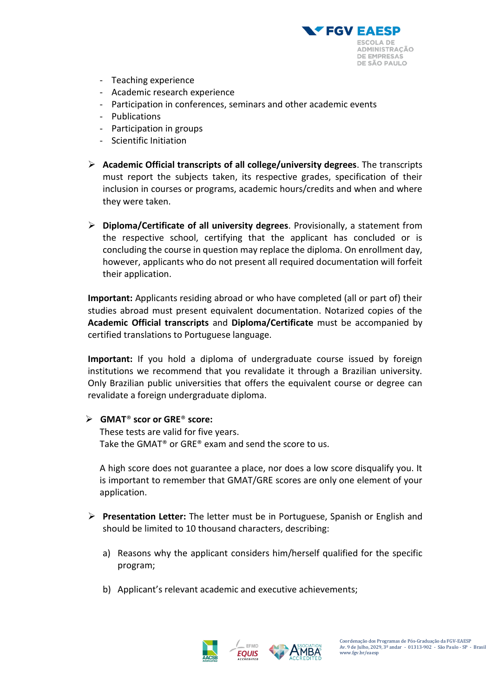

- Teaching experience
- Academic research experience
- Participation in conferences, seminars and other academic events
- Publications
- Participation in groups
- Scientific Initiation
- ➢ **Academic Official transcripts of all college/university degrees**. The transcripts must report the subjects taken, its respective grades, specification of their inclusion in courses or programs, academic hours/credits and when and where they were taken.
- ➢ **Diploma/Certificate of all university degrees**. Provisionally, a statement from the respective school, certifying that the applicant has concluded or is concluding the course in question may replace the diploma. On enrollment day, however, applicants who do not present all required documentation will forfeit their application.

**Important:** Applicants residing abroad or who have completed (all or part of) their studies abroad must present equivalent documentation. Notarized copies of the **Academic Official transcripts** and **Diploma/Certificate** must be accompanied by certified translations to Portuguese language.

**Important:** If you hold a diploma of undergraduate course issued by foreign institutions we recommend that you revalidate it through a Brazilian university. Only Brazilian public universities that offers the equivalent course or degree can revalidate a foreign undergraduate diploma.

### ➢ **GMAT**® **scor or GRE**® **score:**

These tests are valid for five years. Take the GMAT® or GRE® exam and send the score to us.

A high score does not guarantee a place, nor does a low score disqualify you. It is important to remember that GMAT/GRE scores are only one element of your application.

- ➢ **Presentation Letter:** The letter must be in Portuguese, Spanish or English and should be limited to 10 thousand characters, describing:
	- a) Reasons why the applicant considers him/herself qualified for the specific program;
	- b) Applicant's relevant academic and executive achievements;



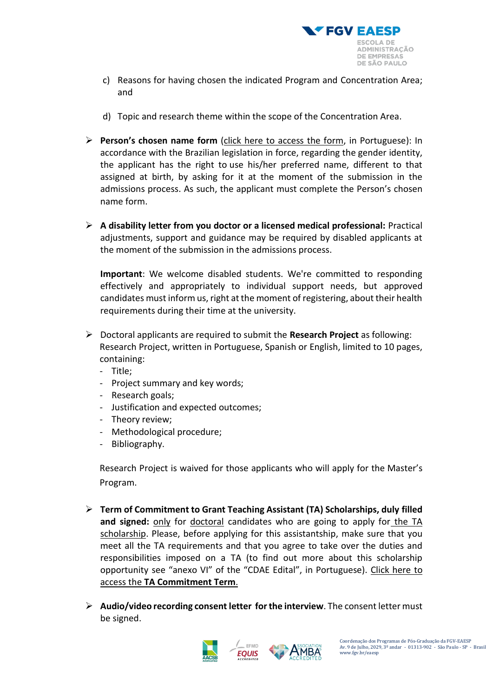

- c) Reasons for having chosen the indicated Program and Concentration Area; and
- d) Topic and research theme within the scope of the Concentration Area.
- ➢ **Person's chosen name form** [\(click here to access the form,](https://www.fgv.br/processoseletivo/cdae/2022/AnexoIV-Edital-CDAE-02-2022.pdf) in Portuguese): In accordance with the Brazilian legislation in force, regarding the gender identity, the applicant has the right to use his/her preferred name, different to that assigned at birth, by asking for it at the moment of the submission in the admissions process. As such, the applicant must complete the Person's chosen name form.
- ➢ **A disability letter from you doctor or a licensed medical professional:** Practical adjustments, support and guidance may be required by disabled applicants at the moment of the submission in the admissions process.

**Important**: We welcome disabled students. We're committed to responding effectively and appropriately to individual support needs, but approved candidates must inform us, right at the moment of registering, about their health requirements during their time at the university.

- ➢ Doctoral applicants are required to submit the **Research Project** as following: Research Project, written in Portuguese, Spanish or English, limited to 10 pages, containing:
	- Title;
	- Project summary and key words;
	- Research goals;
	- Justification and expected outcomes;
	- Theory review;
	- Methodological procedure;
	- Bibliography.

Research Project is waived for those applicants who will apply for the Master's Program.

- ➢ **Term of Commitment to Grant Teaching Assistant (TA) Scholarships, duly filled and signed:** only for doctoral candidates who are going to apply for the TA scholarship. Please, before applying for this assistantship, make sure that you meet all the TA requirements and that you agree to take over the duties and responsibilities imposed on a TA (to find out more about this scholarship opportunity see "anexo [VI" of the "CDAE Edital", in Portuguese\).](https://www.fgv.br/processoseletivo/cdae/2022/AnexoVII-Edital-CDAE-02-2022.pdf) Click here to access the **TA Commitment Term**.
- ➢ **Audio/video recording consent letter for the interview**. The consent letter must be signed.



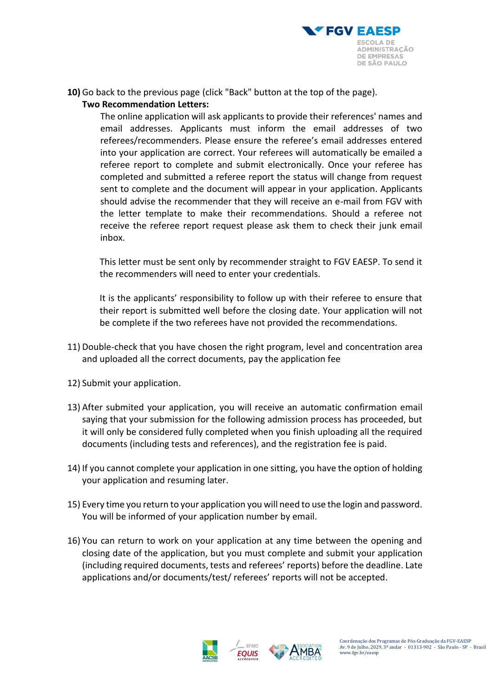

**10)** Go back to the previous page (click "Back" button at the top of the page).

# **Two Recommendation Letters:**

The online application will ask applicants to provide their references' names and email addresses. Applicants must inform the email addresses of two referees/recommenders. Please ensure the referee's email addresses entered into your application are correct. Your referees will automatically be emailed a referee report to complete and submit electronically. Once your referee has completed and submitted a referee report the status will change from request sent to complete and the document will appear in your application. Applicants should advise the recommender that they will receive an e-mail from FGV with the letter template to make their recommendations. Should a referee not receive the referee report request please ask them to check their junk email inbox.

This letter must be sent only by recommender straight to FGV EAESP. To send it the recommenders will need to enter your credentials.

It is the applicants' responsibility to follow up with their referee to ensure that their report is submitted well before the closing date. Your application will not be complete if the two referees have not provided the recommendations.

- 11) Double-check that you have chosen the right program, level and concentration area and uploaded all the correct documents, pay the application fee
- 12) Submit your application.
- 13) After submited your application, you will receive an automatic confirmation email saying that your submission for the following admission process has proceeded, but it will only be considered fully completed when you finish uploading all the required documents (including tests and references), and the registration fee is paid.
- 14) If you cannot complete your application in one sitting, you have the option of holding your application and resuming later.
- 15) Every time you return to your application you will need to use the login and password. You will be informed of your application number by email.
- 16) You can return to work on your application at any time between the opening and closing date of the application, but you must complete and submit your application (including required documents, tests and referees' reports) before the deadline. Late applications and/or documents/test/ referees' reports will not be accepted.

EFMD **EQUIS** 



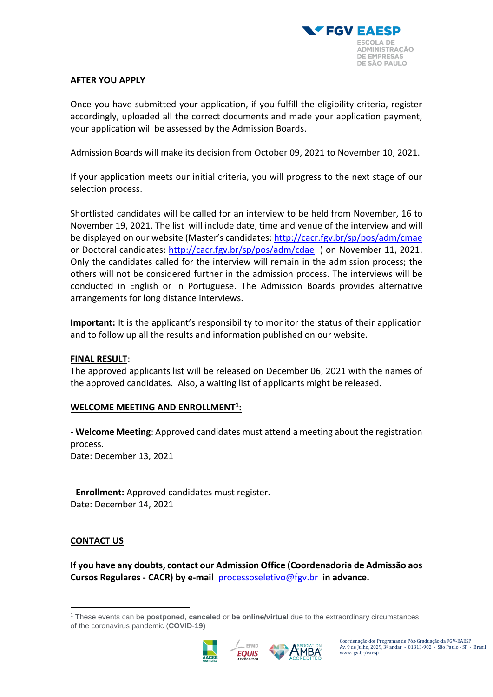

#### **AFTER YOU APPLY**

Once you have submitted your application, if you fulfill the eligibility criteria, register accordingly, uploaded all the correct documents and made your application payment, your application will be assessed by the Admission Boards.

Admission Boards will make its decision from October 09, 2021 to November 10, 2021.

If your application meets our initial criteria, you will progress to the next stage of our selection process.

Shortlisted candidates will be called for an interview to be held from November, 16 to November 19, 2021. The list will include date, time and venue of the interview and will be displayed on our website (Master's candidates: <http://cacr.fgv.br/sp/pos/adm/cmae> or Doctoral candidates:<http://cacr.fgv.br/sp/pos/adm/cdae> ) on November 11, 2021. Only the candidates called for the interview will remain in the admission process; the others will not be considered further in the admission process. The interviews will be conducted in English or in Portuguese. The Admission Boards provides alternative arrangements for long distance interviews.

**Important:** It is the applicant's responsibility to monitor the status of their application and to follow up all the results and information published on our website.

#### **FINAL RESULT**:

The approved applicants list will be released on December 06, 2021 with the names of the approved candidates. Also, a waiting list of applicants might be released.

### **WELCOME MEETING AND ENROLLMENT<sup>1</sup> :**

- **Welcome Meeting**: Approved candidates must attend a meeting about the registration process. Date: December 13, 2021

- **Enrollment:** Approved candidates must register. Date: December 14, 2021

### **CONTACT US**

**If you have any doubts, contact our Admission Office (Coordenadoria de Admissão aos Cursos Regulares - CACR) by e-mail** [processoseletivo@fgv.br](mailto:processoseletivo@fgv.br) **in advance.**

EFMD





Coordenação dos Programas de Pós-Graduação da FGV-EAESP Av. 9 de Julho, 2029, 3º andar - 01313-902 - São Paulo - SP - Brasil www.fgv.br/eaesp

<sup>1</sup> These events can be **postponed**, **canceled** or **be online/virtual** due to the extraordinary circumstances of the coronavirus pandemic (**COVID**-**19)**